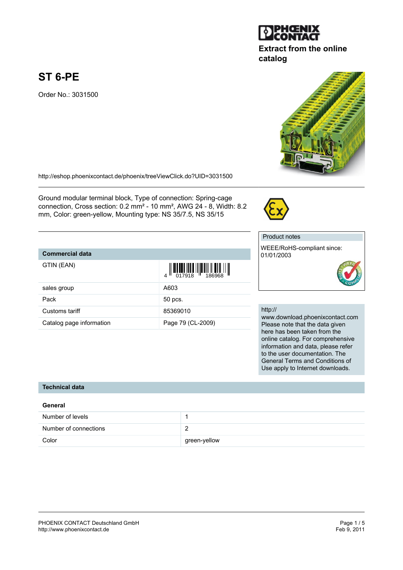# **ST 6-PE**

Order No.: 3031500

<http://eshop.phoenixcontact.de/phoenix/treeViewClick.do?UID=3031500>

Ground modular terminal block, Type of connection: Spring-cage connection, Cross section: 0.2 mm² - 10 mm², AWG 24 - 8, Width: 8.2 mm, Color: green-yellow, Mounting type: NS 35/7.5, NS 35/15

### **Commercial data**

GTIN (EAN)

|                          | $4$    $^{11}$ 1111 1111 11   111 11    111 11    11 |
|--------------------------|------------------------------------------------------|
| sales group              | A603                                                 |
| Pack                     | 50 pcs.                                              |
| Customs tariff           | 85369010                                             |
| Catalog page information | Page 79 (CL-2009)                                    |

### Product notes

http://

WEEE/RoHS-compliant since: 01/01/2003

www.download.phoenixcontact.com Please note that the data given here has been taken from the online catalog. For comprehensive information and data, please refer to the user documentation. The General Terms and Conditions of Use apply to Internet downloads.



# **Technical data**

| General               |              |
|-----------------------|--------------|
| Number of levels      |              |
| Number of connections |              |
| Color                 | green-yellow |



**catalog**



| $\frac{1}{4}\left\  \left\  \left[ \begin{array}{c} 1 & 1 \\ 0 & 1 \end{array} \right] \right\  \left\  \left[ \begin{array}{c} 1 & 1 \\ 1 & 1 \end{array} \right] \right\  \left\  \left[ \begin{array}{c} 1 & 1 \\ 0 & 1 \end{array} \right] \right\ $ |
|----------------------------------------------------------------------------------------------------------------------------------------------------------------------------------------------------------------------------------------------------------|
| A603                                                                                                                                                                                                                                                     |
| 50 pcs.                                                                                                                                                                                                                                                  |
| 85369010                                                                                                                                                                                                                                                 |
| Page 79 (CL-2009)                                                                                                                                                                                                                                        |

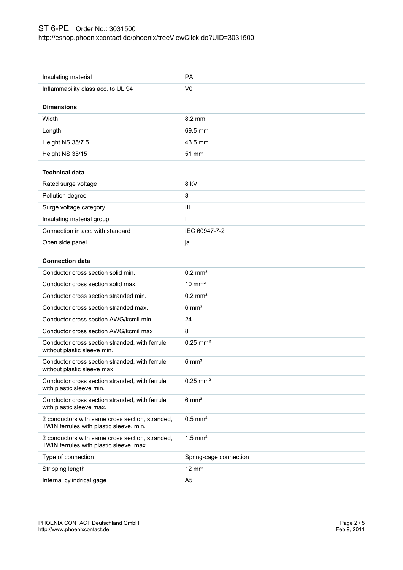| Insulating material                                                                        | <b>PA</b>              |
|--------------------------------------------------------------------------------------------|------------------------|
| Inflammability class acc. to UL 94                                                         | V <sub>0</sub>         |
|                                                                                            |                        |
| <b>Dimensions</b>                                                                          |                        |
| Width                                                                                      | 8.2 mm                 |
| Length                                                                                     | 69.5 mm                |
| Height NS 35/7.5                                                                           | 43.5 mm                |
| Height NS 35/15                                                                            | 51 mm                  |
| <b>Technical data</b>                                                                      |                        |
| Rated surge voltage                                                                        | 8 kV                   |
| Pollution degree                                                                           | 3                      |
| Surge voltage category                                                                     | III                    |
| Insulating material group                                                                  | L                      |
| Connection in acc. with standard                                                           | IEC 60947-7-2          |
| Open side panel                                                                            | ја                     |
| <b>Connection data</b>                                                                     |                        |
| Conductor cross section solid min.                                                         | $0.2$ mm <sup>2</sup>  |
| Conductor cross section solid max.                                                         | $10 \text{ mm}^2$      |
| Conductor cross section stranded min.                                                      | $0.2$ mm <sup>2</sup>  |
| Conductor cross section stranded max.                                                      | $6 \text{ mm}^2$       |
| Conductor cross section AWG/kcmil min.                                                     | 24                     |
| Conductor cross section AWG/kcmil max                                                      | 8                      |
| Conductor cross section stranded, with ferrule<br>without plastic sleeve min.              | $0.25$ mm <sup>2</sup> |
| Conductor cross section stranded, with ferrule<br>without plastic sleeve max.              | $6 \text{ mm}^2$       |
| Conductor cross section stranded, with ferrule<br>with plastic sleeve min.                 | $0.25$ mm <sup>2</sup> |
| Conductor cross section stranded, with ferrule<br>with plastic sleeve max.                 | $6 \text{ mm}^2$       |
| 2 conductors with same cross section, stranded,<br>TWIN ferrules with plastic sleeve, min. | $0.5$ mm <sup>2</sup>  |
| 2 conductors with same cross section, stranded,<br>TWIN ferrules with plastic sleeve, max. | $1.5$ mm <sup>2</sup>  |
| Type of connection                                                                         | Spring-cage connection |
| Stripping length                                                                           | 12 mm                  |
| Internal cylindrical gage                                                                  | A <sub>5</sub>         |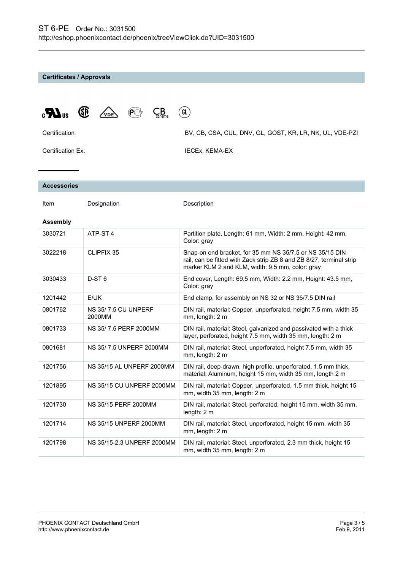**Certificates / Approvals**

| $\mathbf{C}$ and $\mathbf{C}$ and $\mathbf{C}$ and $\mathbf{C}$ and $\mathbf{C}$ and $\mathbf{C}$ and $\mathbf{C}$ and $\mathbf{C}$ and $\mathbf{C}$ and $\mathbf{C}$ and $\mathbf{C}$ and $\mathbf{C}$ and $\mathbf{C}$ and $\mathbf{C}$ and $\mathbf{C}$ and $\mathbf{C}$ and $\mathbf{C}$ and |  |  |  |
|--------------------------------------------------------------------------------------------------------------------------------------------------------------------------------------------------------------------------------------------------------------------------------------------------|--|--|--|
|--------------------------------------------------------------------------------------------------------------------------------------------------------------------------------------------------------------------------------------------------------------------------------------------------|--|--|--|

|  | Certification |
|--|---------------|
|  |               |

BV, CB, CSA, CUL, DNV, GL, GOST, KR, LR, NK, UL, VDE-PZI

Certification Ex: **IECEX, KEMA-EX** 

#### **Accessories**

| Item | Designation | Description |
|------|-------------|-------------|
|------|-------------|-------------|

| <b>Description</b> |
|--------------------|

**Assembly**

| 3030721 | ATP-ST4                       | Partition plate, Length: 61 mm, Width: 2 mm, Height: 42 mm,<br>Color: gray                                                                                                           |
|---------|-------------------------------|--------------------------------------------------------------------------------------------------------------------------------------------------------------------------------------|
| 3022218 | CLIPFIX 35                    | Snap-on end bracket, for 35 mm NS 35/7.5 or NS 35/15 DIN<br>rail, can be fitted with Zack strip ZB 8 and ZB 8/27, terminal strip<br>marker KLM 2 and KLM, width: 9.5 mm, color: gray |
| 3030433 | $D-ST6$                       | End cover, Length: 69.5 mm, Width: 2.2 mm, Height: 43.5 mm,<br>Color: gray                                                                                                           |
| 1201442 | E/UK                          | End clamp, for assembly on NS 32 or NS 35/7.5 DIN rail                                                                                                                               |
| 0801762 | NS 35/7,5 CU UNPERF<br>2000MM | DIN rail, material: Copper, unperforated, height 7.5 mm, width 35<br>mm, length: 2 m                                                                                                 |
| 0801733 | NS 35/7.5 PERF 2000MM         | DIN rail, material: Steel, galvanized and passivated with a thick<br>layer, perforated, height 7.5 mm, width 35 mm, length: 2 m                                                      |
| 0801681 | NS 35/7,5 UNPERF 2000MM       | DIN rail, material: Steel, unperforated, height 7.5 mm, width 35<br>mm, length: 2 m                                                                                                  |
| 1201756 | NS 35/15 AL UNPERF 2000MM     | DIN rail, deep-drawn, high profile, unperforated, 1.5 mm thick,<br>material: Aluminum, height 15 mm, width 35 mm, length 2 m                                                         |
| 1201895 | NS 35/15 CU UNPERF 2000MM     | DIN rail, material: Copper, unperforated, 1.5 mm thick, height 15<br>mm, width 35 mm, length: 2 m                                                                                    |
| 1201730 | NS 35/15 PERF 2000MM          | DIN rail, material: Steel, perforated, height 15 mm, width 35 mm,<br>length: $2m$                                                                                                    |
| 1201714 | <b>NS 35/15 UNPERF 2000MM</b> | DIN rail, material: Steel, unperforated, height 15 mm, width 35<br>mm, length: 2 m                                                                                                   |
| 1201798 | NS 35/15-2.3 UNPERF 2000MM    | DIN rail, material: Steel, unperforated, 2.3 mm thick, height 15<br>mm, width 35 mm, length: 2 m                                                                                     |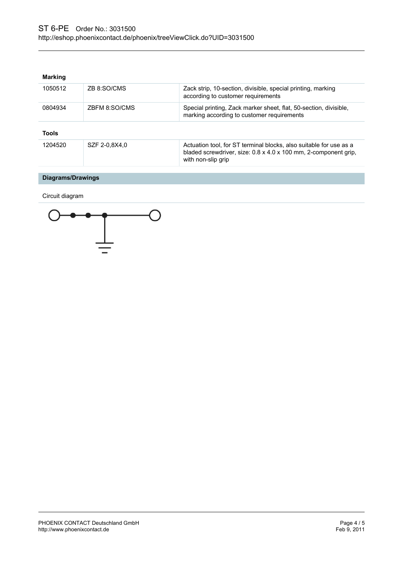| <b>Marking</b> |  |  |
|----------------|--|--|
|                |  |  |

| 1050512      | ZB 8:SO/CMS   | Zack strip, 10-section, divisible, special printing, marking<br>according to customer requirements                                                          |
|--------------|---------------|-------------------------------------------------------------------------------------------------------------------------------------------------------------|
| 0804934      | ZBFM 8:SO/CMS | Special printing, Zack marker sheet, flat, 50-section, divisible,<br>marking according to customer requirements                                             |
| <b>Tools</b> |               |                                                                                                                                                             |
| 1204520      | SZF 2-0.8X4.0 | Actuation tool, for ST terminal blocks, also suitable for use as a<br>bladed screwdriver, size: 0.8 x 4.0 x 100 mm, 2-component grip,<br>with non-slip grip |

**Diagrams/Drawings**

Circuit diagram